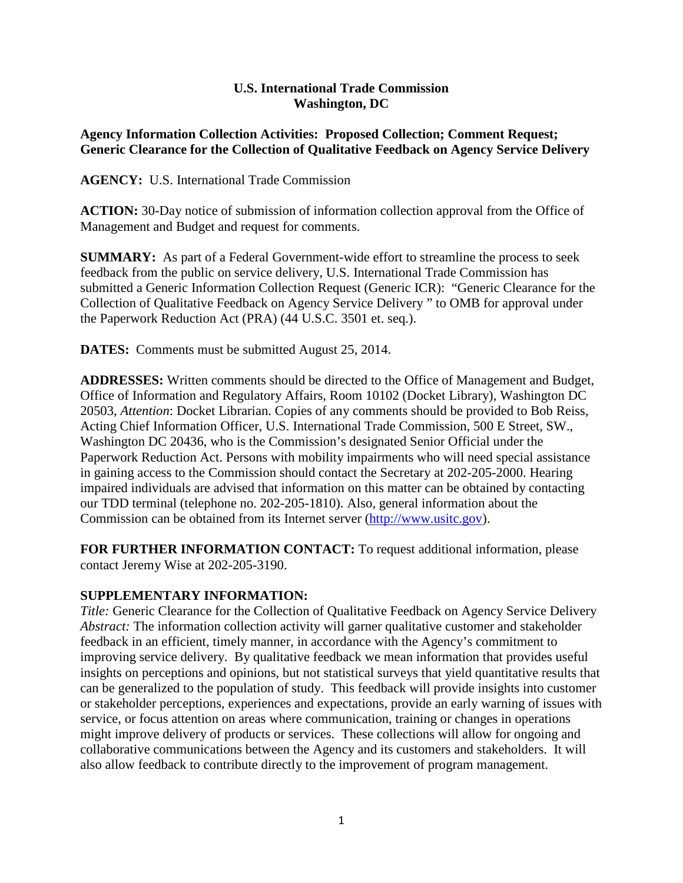## **U.S. International Trade Commission Washington, DC**

## **Agency Information Collection Activities: Proposed Collection; Comment Request; Generic Clearance for the Collection of Qualitative Feedback on Agency Service Delivery**

**AGENCY:** U.S. International Trade Commission

**ACTION:** 30-Day notice of submission of information collection approval from the Office of Management and Budget and request for comments.

**SUMMARY:** As part of a Federal Government-wide effort to streamline the process to seek feedback from the public on service delivery, U.S. International Trade Commission has submitted a Generic Information Collection Request (Generic ICR): "Generic Clearance for the Collection of Qualitative Feedback on Agency Service Delivery " to OMB for approval under the Paperwork Reduction Act (PRA) (44 U.S.C. 3501 et. seq.).

**DATES:** Comments must be submitted August 25, 2014.

**ADDRESSES:** Written comments should be directed to the Office of Management and Budget, Office of Information and Regulatory Affairs, Room 10102 (Docket Library), Washington DC 20503, *Attention*: Docket Librarian. Copies of any comments should be provided to Bob Reiss, Acting Chief Information Officer, U.S. International Trade Commission, 500 E Street, SW., Washington DC 20436, who is the Commission's designated Senior Official under the Paperwork Reduction Act. Persons with mobility impairments who will need special assistance in gaining access to the Commission should contact the Secretary at 202-205-2000. Hearing impaired individuals are advised that information on this matter can be obtained by contacting our TDD terminal (telephone no. 202-205-1810). Also, general information about the Commission can be obtained from its Internet server [\(http://www.usitc.gov\)](http://www.usitc.gov/).

**FOR FURTHER INFORMATION CONTACT:** To request additional information, please contact Jeremy Wise at 202-205-3190.

## **SUPPLEMENTARY INFORMATION:**

*Title:* Generic Clearance for the Collection of Qualitative Feedback on Agency Service Delivery *Abstract:* The information collection activity will garner qualitative customer and stakeholder feedback in an efficient, timely manner, in accordance with the Agency's commitment to improving service delivery. By qualitative feedback we mean information that provides useful insights on perceptions and opinions, but not statistical surveys that yield quantitative results that can be generalized to the population of study. This feedback will provide insights into customer or stakeholder perceptions, experiences and expectations, provide an early warning of issues with service, or focus attention on areas where communication, training or changes in operations might improve delivery of products or services. These collections will allow for ongoing and collaborative communications between the Agency and its customers and stakeholders. It will also allow feedback to contribute directly to the improvement of program management.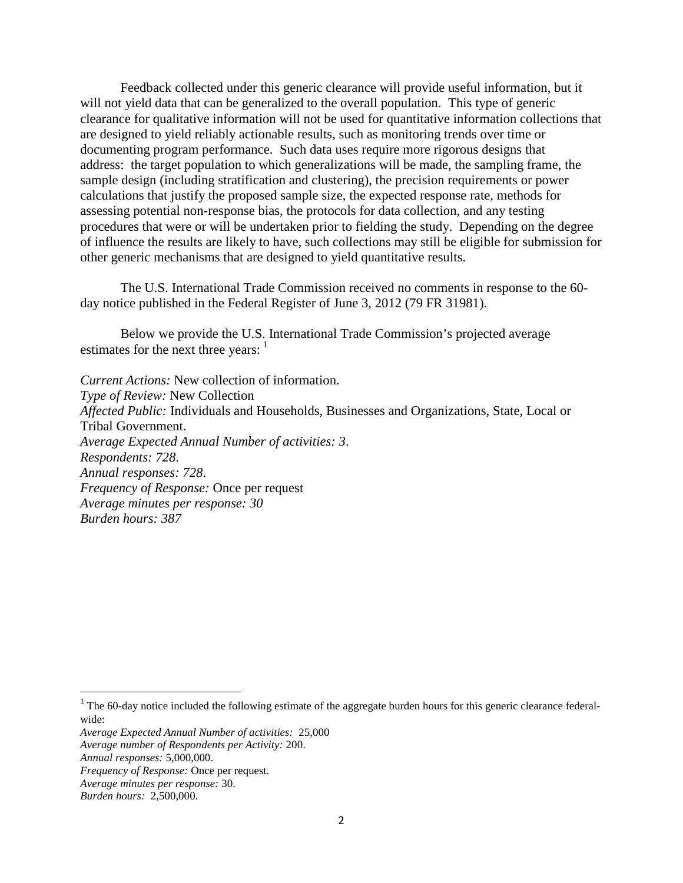Feedback collected under this generic clearance will provide useful information, but it will not yield data that can be generalized to the overall population. This type of generic clearance for qualitative information will not be used for quantitative information collections that are designed to yield reliably actionable results, such as monitoring trends over time or documenting program performance. Such data uses require more rigorous designs that address: the target population to which generalizations will be made, the sampling frame, the sample design (including stratification and clustering), the precision requirements or power calculations that justify the proposed sample size, the expected response rate, methods for assessing potential non-response bias, the protocols for data collection, and any testing procedures that were or will be undertaken prior to fielding the study. Depending on the degree of influence the results are likely to have, such collections may still be eligible for submission for other generic mechanisms that are designed to yield quantitative results.

The U.S. International Trade Commission received no comments in response to the 60 day notice published in the Federal Register of June 3, 2012 (79 FR 31981).

Below we provide the U.S. International Trade Commission's projected average estimates for the next three years: <sup>[1](#page-1-0)</sup>

*Current Actions:* New collection of information. *Type of Review:* New Collection *Affected Public:* Individuals and Households, Businesses and Organizations, State, Local or Tribal Government. *Average Expected Annual Number of activities: 3*. *Respondents: 728*. *Annual responses: 728*. *Frequency of Response:* Once per request *Average minutes per response: 30 Burden hours: 387*

l

<span id="page-1-0"></span> $1$  The 60-day notice included the following estimate of the aggregate burden hours for this generic clearance federalwide:

*Average Expected Annual Number of activities:* 25,000

*Average number of Respondents per Activity:* 200.

*Annual responses:* 5,000,000.

*Frequency of Response:* Once per request.

*Average minutes per response:* 30.

*Burden hours:* 2,500,000.